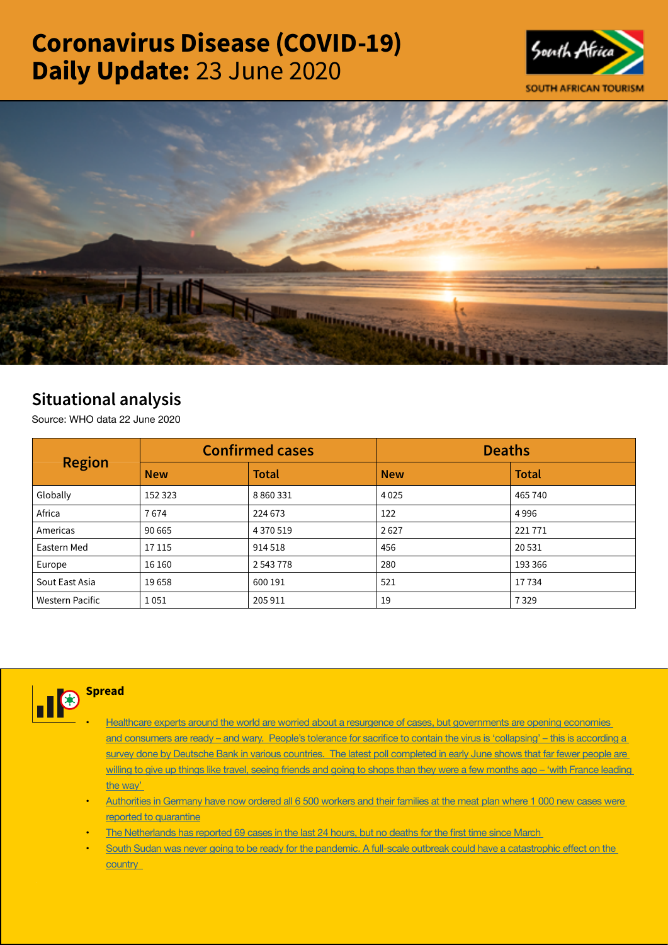# Coronavirus Disease (COVID-19) Daily Update: 23 June 2020





## Situational analysis

Source: WHO data 22 June 2020

| <b>Region</b>   |            | <b>Confirmed cases</b> | <b>Deaths</b> |              |  |
|-----------------|------------|------------------------|---------------|--------------|--|
|                 | <b>New</b> | <b>Total</b>           | <b>New</b>    | <b>Total</b> |  |
| Globally        | 152 323    | 8 8 6 0 3 3 1          | 4025          | 465 740      |  |
| Africa          | 7674       | 224 673                | 122           | 4996         |  |
| Americas        | 90 665     | 4 370 519              | 2627          | 221 771      |  |
| Eastern Med     | 17 115     | 914 518                | 456           | 20 5 31      |  |
| Europe          | 16 160     | 2 543 778              | 280           | 193 366      |  |
| Sout East Asia  | 19658      | 600 191                | 521           | 17734        |  |
| Western Pacific | 1051       | 205 911                | 19            | 7329         |  |



- Healthcare experts around the world are worried about a resurgence of cases, but governments are opening economies and consumers are ready – and [wary. People's](https://is.gd/VpZFZy) tolerance for sacrifice to contain the virus is 'collapsing' – this is according a survey done by Deutsche Bank in various countries. The latest poll completed in early June shows that far fewer people are willing to give up things like travel, seeing friends and going to shops than they were a few [months](https://is.gd/VpZFZy) ago – 'with France leading [the way'](https://is.gd/VpZFZy)
- Authorities in Germany have now ordered all 6 500 workers and their families at the meat plan where 1 000 new cases were [reported to quarantine](https://t.co/JCF53TYYXg?amp=1)
- The [Netherlands](https://t.co/Jvltbsr95k?amp=1) has reported 69 cases in the last 24 hours, but no deaths for the first time since March
- South Sudan was never going to be ready for the pandemic. A full-scale outbreak could have a [catastrophic](https://t.co/Wwu9KTbrdG?amp=1) effect on the **country**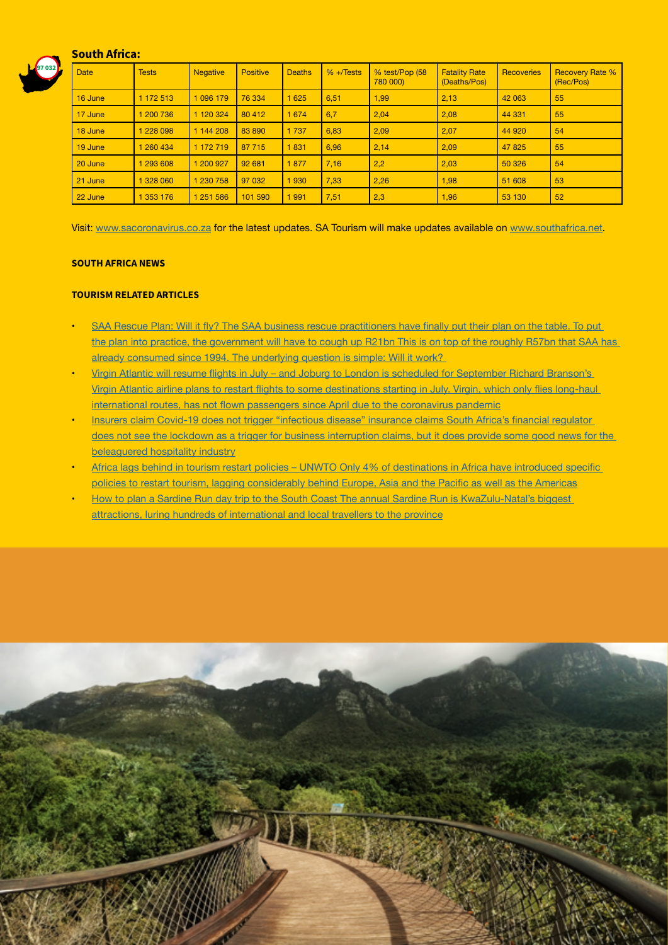### South Africa:



| <b>Date</b> | <b>Tests</b> | <b>Negative</b> | <b>Positive</b> | <b>Deaths</b> | $% + \sqrt{6}$ | % test/Pop (58<br>780 000) | <b>Fatality Rate</b><br>(Deaths/Pos) | <b>Recoveries</b> | <b>Recovery Rate %</b><br>(Rec/Pos) |
|-------------|--------------|-----------------|-----------------|---------------|----------------|----------------------------|--------------------------------------|-------------------|-------------------------------------|
| 16 June     | 1 172 513    | 1 096 179       | 76 334          | 1 6 2 5       | 6,51           | 1,99                       | 2,13                                 | 42 063            | 55                                  |
| 17 June     | 1 200 736    | 1 120 324       | 80 412          | 1 6 7 4       | 6,7            | 2.04                       | 2,08                                 | 44 331            | 55                                  |
| 18 June     | 1 228 098    | 1 144 208       | 83890           | 1 7 3 7       | 6,83           | 2,09                       | 2.07                                 | 44 920            | 54                                  |
| 19 June     | 1 260 434    | 1 172 719       | 87 715          | 1831          | 6,96           | 2,14                       | 2.09                                 | 47825             | 55                                  |
| 20 June     | 1 293 608    | 200 927         | 92 681          | 1877          | 7,16           | 2,2                        | 2,03                                 | 50 326            | 54                                  |
| 21 June     | 1 328 060    | 230 758         | 97 032          | 1930          | 7,33           | 2,26                       | 1,98                                 | 51 608            | 53                                  |
| 22 June     | 1 353 176    | 1251586         | 101 590         | 1991          | 7,51           | 2,3                        | 1,96                                 | 53 130            | 52                                  |

Visit: [www.sacoronavirus.co.za](http://www.sacoronavirus.co.za) for the latest updates. SA Tourism will make updates available on [www.southafrica.net](http://www.southafrica.net).

#### SOUTH AFRICA NEWS

#### TOURISM RELATED ARTICLES

- SAA Rescue Plan: Will it fly? The SAA business rescue [practitioners](https://www.dailymaverick.co.za/article/2020-06-22-saa-rescue-plan-will-it-fly/#gsc.tab=0) have finally put their plan on the table. To put [the plan into practice, the government will have to cough up R21bn This is on top of the roughly R57bn that SAA has](https://www.dailymaverick.co.za/article/2020-06-22-saa-rescue-plan-will-it-fly/#gsc.tab=0)  already [consumed](https://www.dailymaverick.co.za/article/2020-06-22-saa-rescue-plan-will-it-fly/#gsc.tab=0) since 1994. The underlying question is simple: Will it work?
- Virgin Atlantic will resume flights in July and Joburg to London is scheduled for [September](https://www.businessinsider.co.za/travel/virgin-atlantic-restarting-passenger-flights-us-hong-kong-2020-6) Richard Branson's Virgin Atlantic airline plans to restart flights to some [destinations](https://www.businessinsider.co.za/travel/virgin-atlantic-restarting-passenger-flights-us-hong-kong-2020-6) starting in July. Virgin, which only flies long-haul [international](https://www.businessinsider.co.za/travel/virgin-atlantic-restarting-passenger-flights-us-hong-kong-2020-6) routes, has not flown passengers since April due to the coronavirus pandemic
- Insurers claim Covid-19 does not trigger ["infectious](https://www.dailymaverick.co.za/article/2020-06-22-insurers-claim-covid-19-does-not-trigger-infectious-disease-insurance-claims/?utm_source=homepagify#gsc.tab=0) disease" insurance claims South Africa's financial regulator [does not see the lockdown as a trigger for business interruption claims, but it does provide some good news for the](https://www.dailymaverick.co.za/article/2020-06-22-insurers-claim-covid-19-does-not-trigger-infectious-disease-insurance-claims/?utm_source=homepagify#gsc.tab=0)  [beleaguered hospitality industry](https://www.dailymaverick.co.za/article/2020-06-22-insurers-claim-covid-19-does-not-trigger-infectious-disease-insurance-claims/?utm_source=homepagify#gsc.tab=0)
- Africa lags behind in tourism restart policies UNWTO Only 4% of [destinations](http://www.tourismupdate.co.za/article/199670/Africa-lags-behind-in-tourism-restart-policies-UNWTO) in Africa have introduced specific policies to restart tourism, lagging [considerably](http://www.tourismupdate.co.za/article/199670/Africa-lags-behind-in-tourism-restart-policies-UNWTO) behind Europe, Asia and the Pacific as well as the Americas
- How to plan a Sardine Run day trip to the South Coast The annual Sardine Run is KwaZulu-Natal's biggest [attractions, luring hundreds of international and local travellers to the province](https://www.iol.co.za/travel/south-africa/kwazulu-natal/how-to-plan-a-sardine-run-day-trip-to-the-south-coast-49743271)